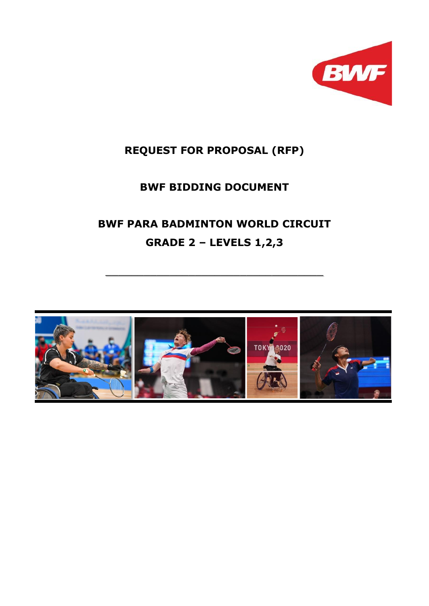

# **REQUEST FOR PROPOSAL (RFP)**

# **BWF BIDDING DOCUMENT**

# **BWF PARA BADMINTON WORLD CIRCUIT GRADE 2 – LEVELS 1,2,3**

\_\_\_\_\_\_\_\_\_\_\_\_\_\_\_\_\_\_\_\_\_\_\_\_\_\_\_\_\_\_\_\_\_\_

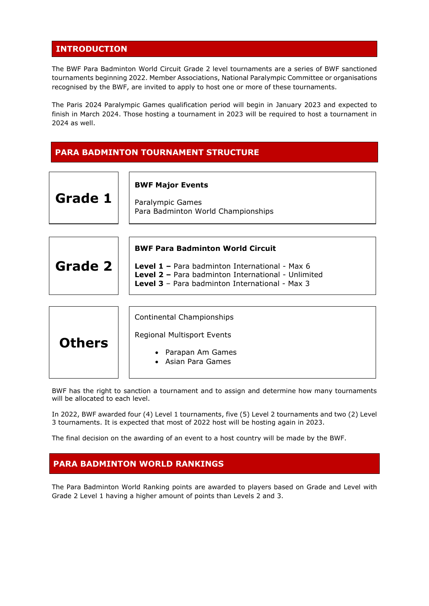# **INTRODUCTION**

The BWF Para Badminton World Circuit Grade 2 level tournaments are a series of BWF sanctioned tournaments beginning 2022. Member Associations, National Paralympic Committee or organisations recognised by the BWF, are invited to apply to host one or more of these tournaments.

The Paris 2024 Paralympic Games qualification period will begin in January 2023 and expected to finish in March 2024. Those hosting a tournament in 2023 will be required to host a tournament in 2024 as well.

### **PARA BADMINTON TOURNAMENT STRUCTURE**

| Grade 1       | <b>BWF Major Events</b><br>Paralympic Games<br>Para Badminton World Championships                                                                                                                               |  |  |  |
|---------------|-----------------------------------------------------------------------------------------------------------------------------------------------------------------------------------------------------------------|--|--|--|
| Grade 2       | <b>BWF Para Badminton World Circuit</b><br>Level 1 - Para badminton International - Max 6<br><b>Level 2 - Para badminton International - Unlimited</b><br><b>Level 3</b> - Para badminton International - Max 3 |  |  |  |
| <b>Others</b> | Continental Championships<br><b>Regional Multisport Events</b><br>Parapan Am Games<br>Asian Para Games                                                                                                          |  |  |  |

BWF has the right to sanction a tournament and to assign and determine how many tournaments will be allocated to each level.

In 2022, BWF awarded four (4) Level 1 tournaments, five (5) Level 2 tournaments and two (2) Level 3 tournaments. It is expected that most of 2022 host will be hosting again in 2023.

The final decision on the awarding of an event to a host country will be made by the BWF.

# **PARA BADMINTON WORLD RANKINGS**

The Para Badminton World Ranking points are awarded to players based on Grade and Level with Grade 2 Level 1 having a higher amount of points than Levels 2 and 3.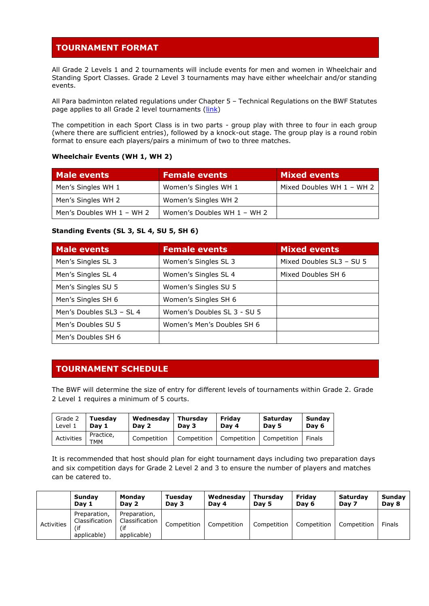# **TOURNAMENT FORMAT**

All Grade 2 Levels 1 and 2 tournaments will include events for men and women in Wheelchair and Standing Sport Classes. Grade 2 Level 3 tournaments may have either wheelchair and/or standing events.

All Para badminton related regulations under Chapter 5 – Technical Regulations on the BWF Statutes page applies to all Grade 2 level tournaments [\(link\)](https://corporate.bwfbadminton.com/statutes/#1513733528967-47d667b6-0737)

The competition in each Sport Class is in two parts - group play with three to four in each group (where there are sufficient entries), followed by a knock-out stage. The group play is a round robin format to ensure each players/pairs a minimum of two to three matches.

#### **Wheelchair Events (WH 1, WH 2)**

| <b>Male events</b>        | <b>Female events</b>        | <b>Mixed events</b>       |
|---------------------------|-----------------------------|---------------------------|
| Men's Singles WH 1        | Women's Singles WH 1        | Mixed Doubles WH 1 - WH 2 |
| Men's Singles WH 2        | Women's Singles WH 2        |                           |
| Men's Doubles WH 1 - WH 2 | Women's Doubles WH 1 - WH 2 |                           |

#### **Standing Events (SL 3, SL 4, SU 5, SH 6)**

| Male events              | <b>Female events</b>        | <b>Mixed events</b>      |
|--------------------------|-----------------------------|--------------------------|
| Men's Singles SL 3       | Women's Singles SL 3        | Mixed Doubles SL3 - SU 5 |
| Men's Singles SL 4       | Women's Singles SL 4        | Mixed Doubles SH 6       |
| Men's Singles SU 5       | Women's Singles SU 5        |                          |
| Men's Singles SH 6       | Women's Singles SH 6        |                          |
| Men's Doubles SL3 - SL 4 | Women's Doubles SL 3 - SU 5 |                          |
| Men's Doubles SU 5       | Women's Men's Doubles SH 6  |                          |
| Men's Doubles SH 6       |                             |                          |

# **TOURNAMENT SCHEDULE**

The BWF will determine the size of entry for different levels of tournaments within Grade 2. Grade 2 Level 1 requires a minimum of 5 courts.

| Grade 2    | Tuesdav          | Wednesdav   | <b>Thursdav</b> | Fridav                    | Saturday | Sunday |
|------------|------------------|-------------|-----------------|---------------------------|----------|--------|
| Level 1    | Dav 1            | Day 2       | Day 3           | Day 4                     | Dav 5    | Day 6  |
| Activities | Practice,<br>TMM | Competition | Competition     | Competition   Competition |          | Finals |

It is recommended that host should plan for eight tournament days including two preparation days and six competition days for Grade 2 Level 2 and 3 to ensure the number of players and matches can be catered to.

|            | Sundav                                               | <b>Mondav</b>                                 | Tuesday     | Wednesday   | Thursday    | Fridav      | Saturdav    | Sunday        |
|------------|------------------------------------------------------|-----------------------------------------------|-------------|-------------|-------------|-------------|-------------|---------------|
|            | Day 1                                                | Day 2                                         | Day 3       | Day 4       | Day 5       | Dav 6       | Day 7       | Day 8         |
| Activities | Preparation,<br>Classification<br>(if<br>applicable) | Preparation,<br>Classification<br>applicable) | Competition | Competition | Competition | Competition | Competition | <b>Finals</b> |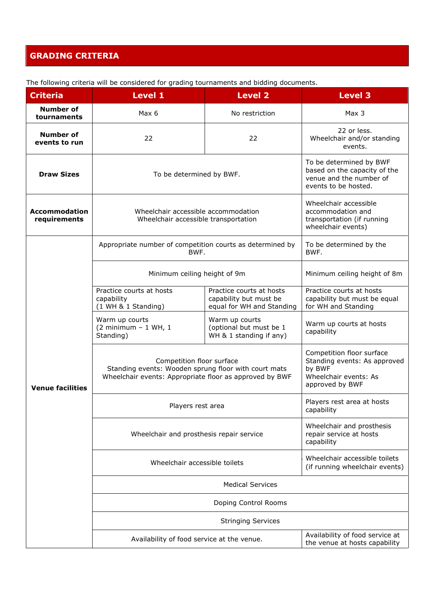# **GRADING CRITERIA**

| <b>Criteria</b>                      | <b>Level 1</b>                                                                                                                               | <b>Level 2</b>                                                                                                                         | <b>Level 3</b>                                                                                                  |  |
|--------------------------------------|----------------------------------------------------------------------------------------------------------------------------------------------|----------------------------------------------------------------------------------------------------------------------------------------|-----------------------------------------------------------------------------------------------------------------|--|
| <b>Number of</b><br>tournaments      | Max 6                                                                                                                                        | No restriction                                                                                                                         | Max <sub>3</sub>                                                                                                |  |
| Number of<br>events to run           | 22                                                                                                                                           | 22                                                                                                                                     | 22 or less.<br>Wheelchair and/or standing<br>events.                                                            |  |
| <b>Draw Sizes</b>                    |                                                                                                                                              | To be determined by BWF<br>based on the capacity of the<br>To be determined by BWF.<br>venue and the number of<br>events to be hosted. |                                                                                                                 |  |
| <b>Accommodation</b><br>requirements |                                                                                                                                              | Wheelchair accessible accommodation<br>Wheelchair accessible transportation                                                            |                                                                                                                 |  |
|                                      | Appropriate number of competition courts as determined by<br>BWF.                                                                            |                                                                                                                                        | To be determined by the<br>BWF.                                                                                 |  |
|                                      | Minimum ceiling height of 9m                                                                                                                 |                                                                                                                                        | Minimum ceiling height of 8m                                                                                    |  |
|                                      | Practice courts at hosts<br>capability<br>(1 WH & 1 Standing)                                                                                | Practice courts at hosts<br>capability but must be<br>equal for WH and Standing                                                        | Practice courts at hosts<br>capability but must be equal<br>for WH and Standing                                 |  |
|                                      | Warm up courts<br>$(2 minimum - 1 WH, 1)$<br>Standing)                                                                                       | Warm up courts<br>(optional but must be 1<br>WH & 1 standing if any)                                                                   | Warm up courts at hosts<br>capability                                                                           |  |
| <b>Venue facilities</b>              | Competition floor surface<br>Standing events: Wooden sprung floor with court mats<br>Wheelchair events: Appropriate floor as approved by BWF |                                                                                                                                        | Competition floor surface<br>Standing events: As approved<br>by BWF<br>Wheelchair events: As<br>approved by BWF |  |
|                                      | Players rest area                                                                                                                            |                                                                                                                                        | Players rest area at hosts<br>capability                                                                        |  |
|                                      | Wheelchair and prosthesis repair service                                                                                                     |                                                                                                                                        | Wheelchair and prosthesis<br>repair service at hosts<br>capability                                              |  |
|                                      | Wheelchair accessible toilets                                                                                                                | Wheelchair accessible toilets<br>(if running wheelchair events)                                                                        |                                                                                                                 |  |
|                                      |                                                                                                                                              | <b>Medical Services</b>                                                                                                                |                                                                                                                 |  |
|                                      |                                                                                                                                              | Doping Control Rooms                                                                                                                   |                                                                                                                 |  |
|                                      |                                                                                                                                              | <b>Stringing Services</b>                                                                                                              |                                                                                                                 |  |
|                                      | Availability of food service at the venue.                                                                                                   |                                                                                                                                        | Availability of food service at<br>the venue at hosts capability                                                |  |

The following criteria will be considered for grading tournaments and bidding documents.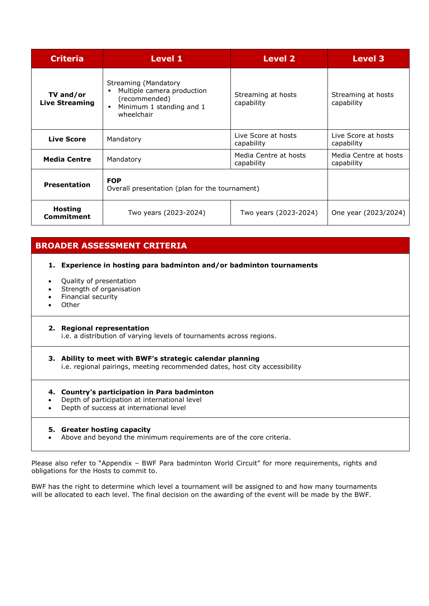| <b>Criteria</b>                    | <b>Level 1</b>                                                                                                | <b>Level 2</b>                      | <b>Level 3</b>                      |
|------------------------------------|---------------------------------------------------------------------------------------------------------------|-------------------------------------|-------------------------------------|
| TV and/or<br><b>Live Streaming</b> | Streaming (Mandatory<br>Multiple camera production<br>(recommended)<br>Minimum 1 standing and 1<br>wheelchair | Streaming at hosts<br>capability    | Streaming at hosts<br>capability    |
| <b>Live Score</b>                  | Mandatory                                                                                                     | Live Score at hosts<br>capability   | Live Score at hosts<br>capability   |
| <b>Media Centre</b>                | Mandatory                                                                                                     | Media Centre at hosts<br>capability | Media Centre at hosts<br>capability |
| <b>Presentation</b>                | <b>FOP</b><br>Overall presentation (plan for the tournament)                                                  |                                     |                                     |
| <b>Hosting</b><br>Commitment       | Two years (2023-2024)                                                                                         | Two years (2023-2024)               | One year (2023/2024)                |

# **BROADER ASSESSMENT CRITERIA**

#### **1. Experience in hosting para badminton and/or badminton tournaments**

- Quality of presentation
- Strength of organisation
- Financial security
- Other

#### **2. Regional representation**

i.e. a distribution of varying levels of tournaments across regions.

#### **3. Ability to meet with BWF's strategic calendar planning** i.e. regional pairings, meeting recommended dates, host city accessibility

#### **4. Country's participation in Para badminton**

- Depth of participation at international level
- Depth of success at international level

#### **5. Greater hosting capacity**

• Above and beyond the minimum requirements are of the core criteria.

Please also refer to "Appendix - BWF Para badminton World Circuit" for more requirements, rights and obligations for the Hosts to commit to.

BWF has the right to determine which level a tournament will be assigned to and how many tournaments will be allocated to each level. The final decision on the awarding of the event will be made by the BWF.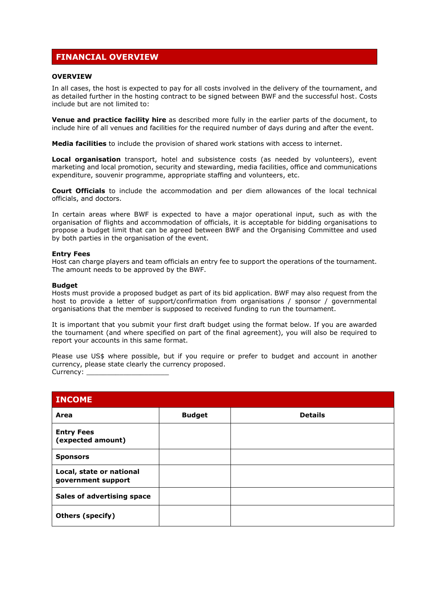# **FINANCIAL OVERVIEW**

#### **OVERVIEW**

In all cases, the host is expected to pay for all costs involved in the delivery of the tournament, and as detailed further in the hosting contract to be signed between BWF and the successful host. Costs include but are not limited to:

**Venue and practice facility hire** as described more fully in the earlier parts of the document, to include hire of all venues and facilities for the required number of days during and after the event.

**Media facilities** to include the provision of shared work stations with access to internet.

**Local organisation** transport, hotel and subsistence costs (as needed by volunteers), event marketing and local promotion, security and stewarding, media facilities, office and communications expenditure, souvenir programme, appropriate staffing and volunteers, etc.

**Court Officials** to include the accommodation and per diem allowances of the local technical officials, and doctors.

In certain areas where BWF is expected to have a major operational input, such as with the organisation of flights and accommodation of officials, it is acceptable for bidding organisations to propose a budget limit that can be agreed between BWF and the Organising Committee and used by both parties in the organisation of the event.

#### **Entry Fees**

Host can charge players and team officials an entry fee to support the operations of the tournament. The amount needs to be approved by the BWF.

#### **Budget**

Hosts must provide a proposed budget as part of its bid application. BWF may also request from the host to provide a letter of support/confirmation from organisations / sponsor / governmental organisations that the member is supposed to received funding to run the tournament.

It is important that you submit your first draft budget using the format below. If you are awarded the tournament (and where specified on part of the final agreement), you will also be required to report your accounts in this same format.

Please use US\$ where possible, but if you require or prefer to budget and account in another currency, please state clearly the currency proposed. Currency: \_

| <b>INCOME</b>                                  |               |                |
|------------------------------------------------|---------------|----------------|
| Area                                           | <b>Budget</b> | <b>Details</b> |
| <b>Entry Fees</b><br>(expected amount)         |               |                |
| <b>Sponsors</b>                                |               |                |
| Local, state or national<br>government support |               |                |
| <b>Sales of advertising space</b>              |               |                |
| <b>Others (specify)</b>                        |               |                |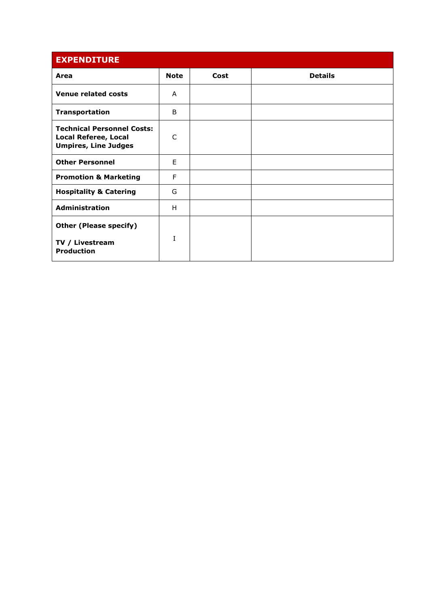| <b>EXPENDITURE</b>                                                                              |             |      |                |
|-------------------------------------------------------------------------------------------------|-------------|------|----------------|
| Area                                                                                            | <b>Note</b> | Cost | <b>Details</b> |
| <b>Venue related costs</b>                                                                      | A           |      |                |
| <b>Transportation</b>                                                                           | B           |      |                |
| <b>Technical Personnel Costs:</b><br><b>Local Referee, Local</b><br><b>Umpires, Line Judges</b> | C           |      |                |
| <b>Other Personnel</b>                                                                          | F           |      |                |
| <b>Promotion &amp; Marketing</b>                                                                | F           |      |                |
| <b>Hospitality &amp; Catering</b>                                                               | G           |      |                |
| <b>Administration</b>                                                                           | H           |      |                |
| <b>Other (Please specify)</b><br>TV / Livestream<br><b>Production</b>                           | T           |      |                |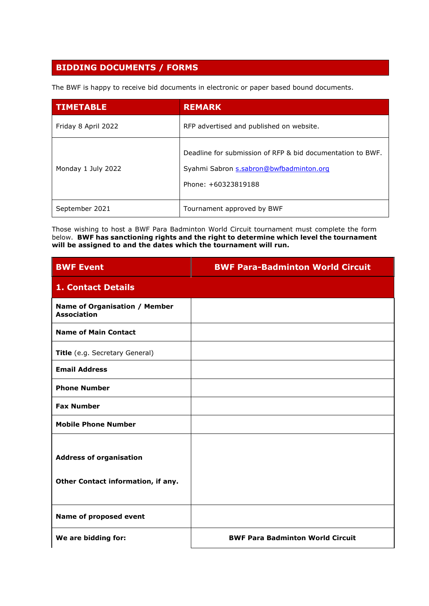# **BIDDING DOCUMENTS / FORMS**

The BWF is happy to receive bid documents in electronic or paper based bound documents.

| <b>TIMETABLE</b>    | <b>REMARK</b>                                                                                                                |
|---------------------|------------------------------------------------------------------------------------------------------------------------------|
| Friday 8 April 2022 | RFP advertised and published on website.                                                                                     |
| Monday 1 July 2022  | Deadline for submission of RFP & bid documentation to BWF.<br>Syahmi Sabron s.sabron@bwfbadminton.org<br>Phone: +60323819188 |
| September 2021      | Tournament approved by BWF                                                                                                   |

Those wishing to host a BWF Para Badminton World Circuit tournament must complete the form below. **BWF has sanctioning rights and the right to determine which level the tournament will be assigned to and the dates which the tournament will run.**

| <b>BWF Event</b>                                                     | <b>BWF Para-Badminton World Circuit</b> |
|----------------------------------------------------------------------|-----------------------------------------|
| <b>1. Contact Details</b>                                            |                                         |
| Name of Organisation / Member<br><b>Association</b>                  |                                         |
| <b>Name of Main Contact</b>                                          |                                         |
| Title (e.g. Secretary General)                                       |                                         |
| <b>Email Address</b>                                                 |                                         |
| <b>Phone Number</b>                                                  |                                         |
| <b>Fax Number</b>                                                    |                                         |
| <b>Mobile Phone Number</b>                                           |                                         |
| <b>Address of organisation</b><br>Other Contact information, if any. |                                         |
| Name of proposed event                                               |                                         |
| We are bidding for:                                                  | <b>BWF Para Badminton World Circuit</b> |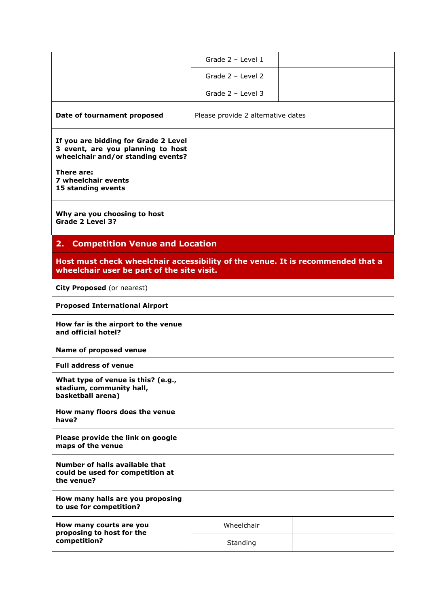|                                                                                                                               | Grade 2 - Level 1                  |  |
|-------------------------------------------------------------------------------------------------------------------------------|------------------------------------|--|
|                                                                                                                               | Grade 2 - Level 2                  |  |
|                                                                                                                               | Grade 2 - Level 3                  |  |
| Date of tournament proposed                                                                                                   | Please provide 2 alternative dates |  |
| If you are bidding for Grade 2 Level<br>3 event, are you planning to host<br>wheelchair and/or standing events?               |                                    |  |
| There are:<br>7 wheelchair events<br>15 standing events                                                                       |                                    |  |
| Why are you choosing to host<br>Grade 2 Level 3?                                                                              |                                    |  |
| 2.<br><b>Competition Venue and Location</b>                                                                                   |                                    |  |
| Host must check wheelchair accessibility of the venue. It is recommended that a<br>wheelchair user be part of the site visit. |                                    |  |
| City Proposed (or nearest)                                                                                                    |                                    |  |
| <b>Proposed International Airport</b>                                                                                         |                                    |  |
| How far is the airport to the venue<br>and official hotel?                                                                    |                                    |  |
| Name of proposed venue                                                                                                        |                                    |  |
| <b>Full address of venue</b>                                                                                                  |                                    |  |
| What type of venue is this? (e.g.,<br>stadium, community hall,<br>basketball arena)                                           |                                    |  |
| How many floors does the venue<br>have?                                                                                       |                                    |  |
| Please provide the link on google<br>maps of the venue                                                                        |                                    |  |
| Number of halls available that<br>could be used for competition at<br>the venue?                                              |                                    |  |
| How many halls are you proposing<br>to use for competition?                                                                   |                                    |  |
| How many courts are you<br>proposing to host for the                                                                          | Wheelchair                         |  |
| competition?                                                                                                                  | Standing                           |  |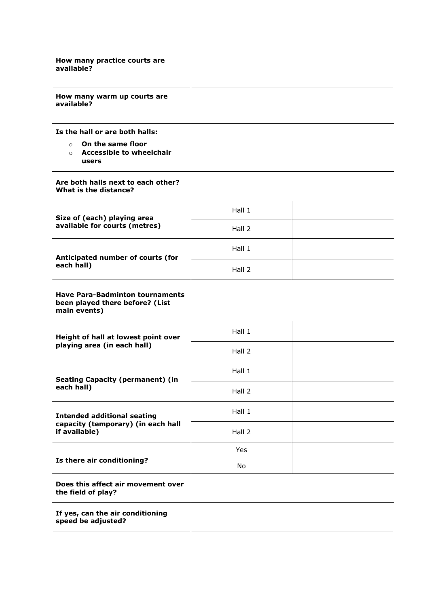| How many practice courts are<br>available?                                                |        |  |
|-------------------------------------------------------------------------------------------|--------|--|
| How many warm up courts are<br>available?                                                 |        |  |
| Is the hall or are both halls:                                                            |        |  |
| On the same floor<br>$\circ$<br>$\circ$ Accessible to wheelchair<br>users                 |        |  |
| Are both halls next to each other?<br>What is the distance?                               |        |  |
| Size of (each) playing area                                                               | Hall 1 |  |
| available for courts (metres)                                                             | Hall 2 |  |
|                                                                                           | Hall 1 |  |
| Anticipated number of courts (for<br>each hall)                                           | Hall 2 |  |
| <b>Have Para-Badminton tournaments</b><br>been played there before? (List<br>main events) |        |  |
| Height of hall at lowest point over                                                       | Hall 1 |  |
| playing area (in each hall)                                                               | Hall 2 |  |
| <b>Seating Capacity (permanent) (in</b>                                                   | Hall 1 |  |
| each hall)                                                                                | Hall 2 |  |
| <b>Intended additional seating</b>                                                        | Hall 1 |  |
| capacity (temporary) (in each hall<br>if available)                                       | Hall 2 |  |
|                                                                                           | Yes    |  |
| Is there air conditioning?                                                                | No     |  |
| Does this affect air movement over<br>the field of play?                                  |        |  |
| If yes, can the air conditioning<br>speed be adjusted?                                    |        |  |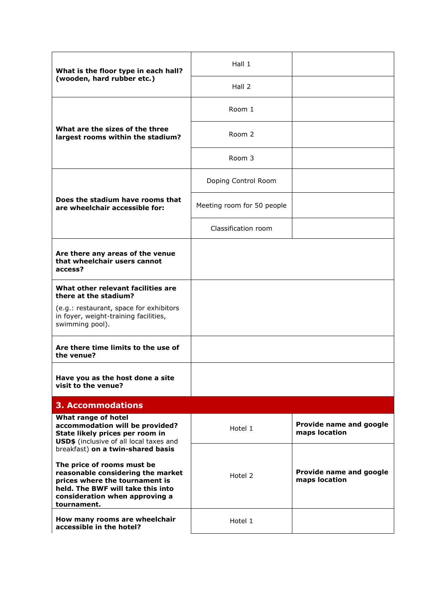| What is the floor type in each hall?<br>(wooden, hard rubber etc.)                                                                                                                                                           | Hall 1                                              |                                          |
|------------------------------------------------------------------------------------------------------------------------------------------------------------------------------------------------------------------------------|-----------------------------------------------------|------------------------------------------|
|                                                                                                                                                                                                                              | Hall 2                                              |                                          |
| What are the sizes of the three<br>largest rooms within the stadium?                                                                                                                                                         | Room 1                                              |                                          |
|                                                                                                                                                                                                                              | Room 2                                              |                                          |
|                                                                                                                                                                                                                              | Room 3                                              |                                          |
|                                                                                                                                                                                                                              | Doping Control Room                                 |                                          |
| Does the stadium have rooms that<br>are wheelchair accessible for:                                                                                                                                                           | Meeting room for 50 people                          |                                          |
|                                                                                                                                                                                                                              | Classification room                                 |                                          |
| Are there any areas of the venue<br>that wheelchair users cannot<br>access?                                                                                                                                                  |                                                     |                                          |
| What other relevant facilities are<br>there at the stadium?                                                                                                                                                                  |                                                     |                                          |
| (e.g.: restaurant, space for exhibitors<br>in foyer, weight-training facilities,<br>swimming pool).                                                                                                                          |                                                     |                                          |
| Are there time limits to the use of<br>the venue?                                                                                                                                                                            |                                                     |                                          |
| Have you as the host done a site<br>visit to the venue?                                                                                                                                                                      |                                                     |                                          |
| <b>3. Accommodations</b>                                                                                                                                                                                                     |                                                     |                                          |
| What range of hotel<br>accommodation will be provided?<br>State likely prices per room in<br>USD\$ (inclusive of all local taxes and                                                                                         | Provide name and google<br>Hotel 1<br>maps location |                                          |
| breakfast) on a twin-shared basis<br>The price of rooms must be<br>reasonable considering the market<br>prices where the tournament is<br>held. The BWF will take this into<br>consideration when approving a<br>tournament. | Hotel 2                                             | Provide name and google<br>maps location |
| How many rooms are wheelchair<br>accessible in the hotel?                                                                                                                                                                    | Hotel 1                                             |                                          |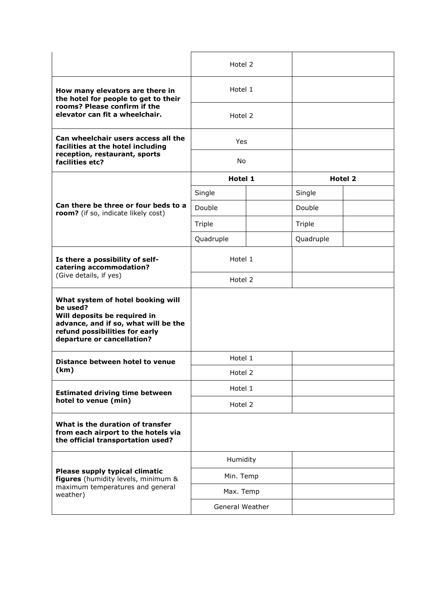|                                                                                                                                                                                       | Hotel 2         |                |  |
|---------------------------------------------------------------------------------------------------------------------------------------------------------------------------------------|-----------------|----------------|--|
| How many elevators are there in<br>the hotel for people to get to their<br>rooms? Please confirm if the<br>elevator can fit a wheelchair.                                             | Hotel 1         |                |  |
|                                                                                                                                                                                       | Hotel 2         |                |  |
| Can wheelchair users access all the<br>facilities at the hotel including<br>reception, restaurant, sports<br>facilities etc?                                                          | <b>Yes</b>      |                |  |
|                                                                                                                                                                                       | No              |                |  |
|                                                                                                                                                                                       | Hotel 1         | <b>Hotel 2</b> |  |
|                                                                                                                                                                                       | Single          | Single         |  |
| Can there be three or four beds to a<br>room? (if so, indicate likely cost)                                                                                                           | Double          | Double         |  |
|                                                                                                                                                                                       | Triple          | Triple         |  |
|                                                                                                                                                                                       | Quadruple       | Quadruple      |  |
| Is there a possibility of self-<br>catering accommodation?                                                                                                                            | Hotel 1         |                |  |
| (Give details, if yes)                                                                                                                                                                | Hotel 2         |                |  |
| What system of hotel booking will<br>be used?<br>Will deposits be required in<br>advance, and if so, what will be the<br>refund possibilities for early<br>departure or cancellation? |                 |                |  |
| Distance between hotel to venue                                                                                                                                                       | Hotel 1         |                |  |
| (km)                                                                                                                                                                                  | Hotel 2         |                |  |
| <b>Estimated driving time between</b><br>hotel to venue (min)                                                                                                                         | Hotel 1         |                |  |
|                                                                                                                                                                                       | Hotel 2         |                |  |
| What is the duration of transfer<br>from each airport to the hotels via<br>the official transportation used?                                                                          |                 |                |  |
| Please supply typical climatic<br>figures (humidity levels, minimum &<br>maximum temperatures and general<br>weather)                                                                 | Humidity        |                |  |
|                                                                                                                                                                                       | Min. Temp       |                |  |
|                                                                                                                                                                                       | Max. Temp       |                |  |
|                                                                                                                                                                                       | General Weather |                |  |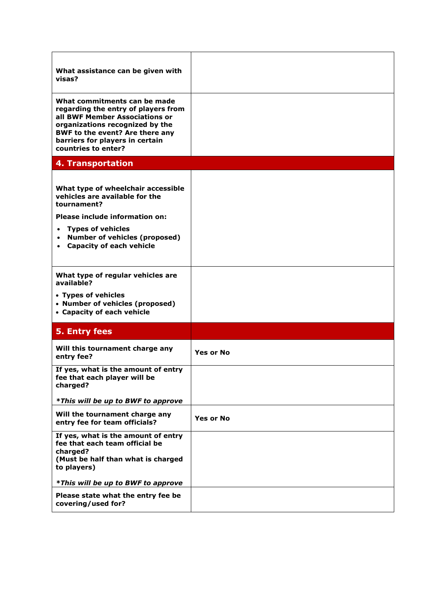| What assistance can be given with<br>visas?                                                                                                                                                                                           |                  |
|---------------------------------------------------------------------------------------------------------------------------------------------------------------------------------------------------------------------------------------|------------------|
| What commitments can be made<br>regarding the entry of players from<br>all BWF Member Associations or<br>organizations recognized by the<br>BWF to the event? Are there any<br>barriers for players in certain<br>countries to enter? |                  |
| 4. Transportation                                                                                                                                                                                                                     |                  |
| What type of wheelchair accessible<br>vehicles are available for the<br>tournament?<br>Please include information on:<br><b>Types of vehicles</b><br>$\bullet$                                                                        |                  |
| <b>Number of vehicles (proposed)</b><br>$\bullet$<br>• Capacity of each vehicle                                                                                                                                                       |                  |
| What type of regular vehicles are<br>available?                                                                                                                                                                                       |                  |
| • Types of vehicles<br>• Number of vehicles (proposed)<br>• Capacity of each vehicle                                                                                                                                                  |                  |
| 5. Entry fees                                                                                                                                                                                                                         |                  |
| Will this tournament charge any<br>entry fee?                                                                                                                                                                                         | <b>Yes or No</b> |
| If yes, what is the amount of entry<br>fee that each player will be<br>charged?                                                                                                                                                       |                  |
| <i>*This will be up to BWF to approve</i>                                                                                                                                                                                             |                  |
| Will the tournament charge any<br>entry fee for team officials?                                                                                                                                                                       | <b>Yes or No</b> |
| If yes, what is the amount of entry<br>fee that each team official be<br>charged?<br>(Must be half than what is charged<br>to players)                                                                                                |                  |
| *This will be up to BWF to approve                                                                                                                                                                                                    |                  |
|                                                                                                                                                                                                                                       |                  |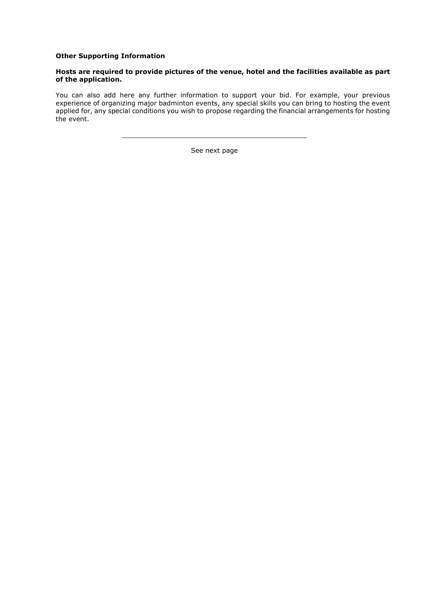#### **Other Supporting Information**

#### **Hosts are required to provide pictures of the venue, hotel and the facilities available as part of the application.**

You can also add here any further information to support your bid. For example, your previous experience of organizing major badminton events, any special skills you can bring to hosting the event applied for, any special conditions you wish to propose regarding the financial arrangements for hosting the event.

See next page

\_\_\_\_\_\_\_\_\_\_\_\_\_\_\_\_\_\_\_\_\_\_\_\_\_\_\_\_\_\_\_\_\_\_\_\_\_\_\_\_\_\_\_\_\_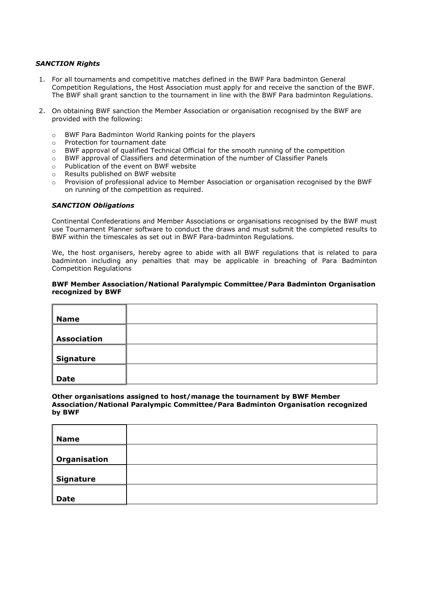#### *SANCTION Rights*

- 1. For all tournaments and competitive matches defined in the BWF Para badminton General Competition Regulations, the Host Association must apply for and receive the sanction of the BWF. The BWF shall grant sanction to the tournament in line with the BWF Para badminton Regulations.
- 2. On obtaining BWF sanction the Member Association or organisation recognised by the BWF are provided with the following:
	- o BWF Para Badminton World Ranking points for the players
	- o Protection for tournament date
	- o BWF approval of qualified Technical Official for the smooth running of the competition
	- o BWF approval of Classifiers and determination of the number of Classifier Panels
	- o Publication of the event on BWF website
	- o Results published on BWF website
	- o Provision of professional advice to Member Association or organisation recognised by the BWF on running of the competition as required.

#### *SANCTION Obligations*

Continental Confederations and Member Associations or organisations recognised by the BWF must use Tournament Planner software to conduct the draws and must submit the completed results to BWF within the timescales as set out in BWF Para-badminton Regulations.

We, the host organisers, hereby agree to abide with all BWF regulations that is related to para badminton including any penalties that may be applicable in breaching of Para Badminton Competition Regulations

#### **BWF Member Association/National Paralympic Committee/Para Badminton Organisation recognized by BWF**

| <b>Name</b>        |  |
|--------------------|--|
| <b>Association</b> |  |
| Signature          |  |
| <b>Date</b>        |  |

#### **Other organisations assigned to host/manage the tournament by BWF Member Association/National Paralympic Committee/Para Badminton Organisation recognized by BWF**

| <b>Name</b>      |  |
|------------------|--|
|                  |  |
|                  |  |
|                  |  |
| Organisation     |  |
|                  |  |
|                  |  |
|                  |  |
| <b>Signature</b> |  |
|                  |  |
|                  |  |
|                  |  |
| <b>Date</b>      |  |
|                  |  |